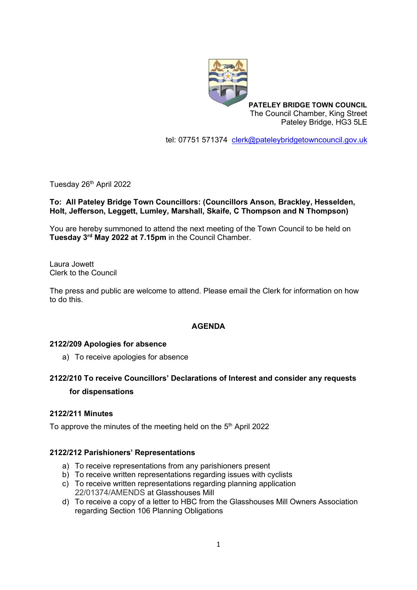

**PATELEY BRIDGE TOWN COUNCIL** The Council Chamber, King Street Pateley Bridge, HG3 5LE

tel: 07751 571374 [clerk@pateleybridgetowncouncil.gov.uk](mailto:clerk@pateleybridgetowncouncil.gov.uk)

Tuesday 26<sup>th</sup> April 2022

## **To: All Pateley Bridge Town Councillors: (Councillors Anson, Brackley, Hesselden, Holt, Jefferson, Leggett, Lumley, Marshall, Skaife, C Thompson and N Thompson)**

You are hereby summoned to attend the next meeting of the Town Council to be held on **Tuesday 3 rd May 2022 at 7.15pm** in the Council Chamber.

Laura Jowett Clerk to the Council

The press and public are welcome to attend. Please email the Clerk for information on how to do this.

### **AGENDA**

### **2122/209 Apologies for absence**

a) To receive apologies for absence

# **2122/210 To receive Councillors' Declarations of Interest and consider any requests for dispensations**

### **2122/211 Minutes**

To approve the minutes of the meeting held on the 5<sup>th</sup> April 2022

### **2122/212 Parishioners' Representations**

- a) To receive representations from any parishioners present
- b) To receive written representations regarding issues with cyclists c) To receive written representations regarding planning application
	- 22/01374/AMENDS at Glasshouses Mill
- d) To receive a copy of a letter to HBC from the Glasshouses Mill Owners Association regarding Section 106 Planning Obligations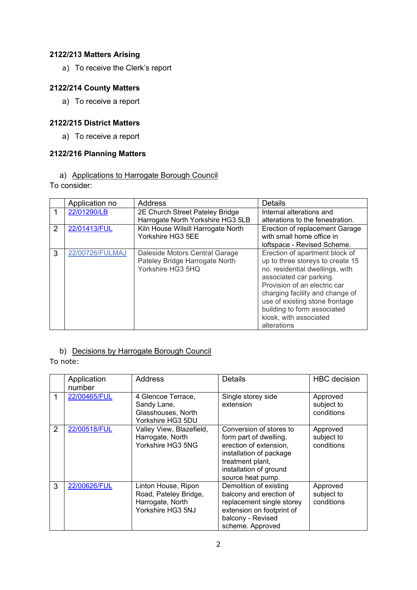## **2122/213 Matters Arising**

a) To receive the Clerk's report

## **2122/214 County Matters**

a) To receive a report

## **2122/215 District Matters**

a) To receive a report

### **2122/216 Planning Matters**

## a) Applications to Harrogate Borough Council

To consider:

|   | Application no  | Address                            | <b>Details</b>                   |
|---|-----------------|------------------------------------|----------------------------------|
|   | 22/01290/LB     | 2E Church Street Pateley Bridge    | Internal alterations and         |
|   |                 | Harrogate North Yorkshire HG3 5LB  | alterations to the fenestration. |
| 2 | 22/01413/FUL    | Kiln House Wilsill Harrogate North | Erection of replacement Garage   |
|   |                 | Yorkshire HG3 5EE                  | with small home office in        |
|   |                 |                                    | loftspace - Revised Scheme.      |
| 3 | 22/00726/FULMAJ | Daleside Motors Central Garage     | Erection of apartment block of   |
|   |                 | Pateley Bridge Harrogate North     | up to three storeys to create 15 |
|   |                 | Yorkshire HG3 5HQ                  | no. residential dwellings, with  |
|   |                 |                                    | associated car parking.          |
|   |                 |                                    | Provision of an electric car     |
|   |                 |                                    | charging facility and change of  |
|   |                 |                                    | use of existing stone frontage   |
|   |                 |                                    | building to form associated      |
|   |                 |                                    | kiosk, with associated           |
|   |                 |                                    | alterations                      |

## b) Decisions by Harrogate Borough Council

To note:

|   | Application<br>number | Address                                                                               | <b>Details</b>                                                                                                                                                            | <b>HBC</b> decision                  |
|---|-----------------------|---------------------------------------------------------------------------------------|---------------------------------------------------------------------------------------------------------------------------------------------------------------------------|--------------------------------------|
|   | 22/00465/FUL          | 4 Glencoe Terrace,<br>Sandy Lane,<br>Glasshouses, North<br>Yorkshire HG3 5DU          | Single storey side<br>extension                                                                                                                                           | Approved<br>subject to<br>conditions |
| 2 | 22/00518/FUL          | Valley View, Blazefield,<br>Harrogate, North<br>Yorkshire HG3 5NG                     | Conversion of stores to<br>form part of dwelling,<br>erection of extension,<br>installation of package<br>treatment plant,<br>installation of ground<br>source heat pump. | Approved<br>subject to<br>conditions |
| 3 | 22/00626/FUL          | Linton House, Ripon<br>Road, Pateley Bridge,<br>Harrogate, North<br>Yorkshire HG3 5NJ | Demolition of existing<br>balcony and erection of<br>replacement single storey<br>extension on footprint of<br>balcony - Revised<br>scheme. Approved                      | Approved<br>subject to<br>conditions |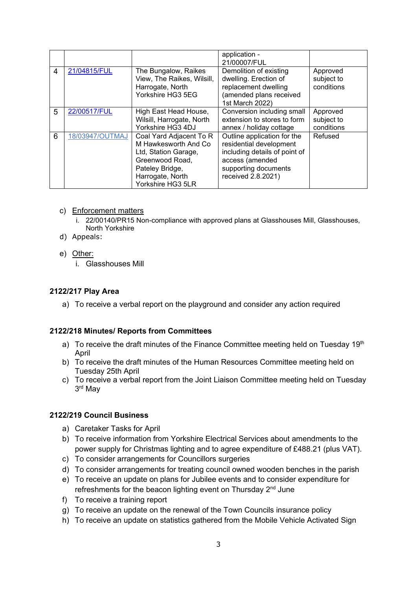|   |                 |                                                                                                                                                        | application -<br>21/00007/FUL                                                                                                                            |                                      |
|---|-----------------|--------------------------------------------------------------------------------------------------------------------------------------------------------|----------------------------------------------------------------------------------------------------------------------------------------------------------|--------------------------------------|
| 4 | 21/04815/FUL    | The Bungalow, Raikes<br>View, The Raikes, Wilsill,<br>Harrogate, North<br>Yorkshire HG3 5EG                                                            | Demolition of existing<br>dwelling. Erection of<br>replacement dwelling<br>(amended plans received<br>1st March 2022)                                    | Approved<br>subject to<br>conditions |
| 5 | 22/00517/FUL    | High East Head House,<br>Wilsill, Harrogate, North<br>Yorkshire HG3 4DJ                                                                                | Conversion including small<br>extension to stores to form<br>annex / holiday cottage                                                                     | Approved<br>subject to<br>conditions |
| 6 | 18/03947/OUTMAJ | Coal Yard Adjacent To R<br>M Hawkesworth And Co<br>Ltd, Station Garage,<br>Greenwood Road,<br>Pateley Bridge,<br>Harrogate, North<br>Yorkshire HG3 5LR | Outline application for the<br>residential development<br>including details of point of<br>access (amended<br>supporting documents<br>received 2.8.2021) | Refused                              |

### c) Enforcement matters

- i. 22/00140/PR15 Non-compliance with approved plans at Glasshouses Mill, Glasshouses, North Yorkshire
- d) Appeals:

#### e) Other:

i. Glasshouses Mill

#### **2122/217 Play Area**

a) To receive a verbal report on the playground and consider any action required

#### **2122/218 Minutes/ Reports from Committees**

- a) To receive the draft minutes of the Finance Committee meeting held on Tuesday  $19<sup>th</sup>$ April
- b) To receive the draft minutes of the Human Resources Committee meeting held on Tuesday 25th April
- c) To receive a verbal report from the Joint Liaison Committee meeting held on Tuesday 3 rd May

### **2122/219 Council Business**

- a) Caretaker Tasks for April
- b) To receive information from Yorkshire Electrical Services about amendments to the power supply for Christmas lighting and to agree expenditure of £488.21 (plus VAT).
- c) To consider arrangements for Councillors surgeries
- d) To consider arrangements for treating council owned wooden benches in the parish
- e) To receive an update on plans for Jubilee events and to consider expenditure for refreshments for the beacon lighting event on Thursday 2<sup>nd</sup> June
- f) To receive a training report
- g) To receive an update on the renewal of the Town Councils insurance policy
- h) To receive an update on statistics gathered from the Mobile Vehicle Activated Sign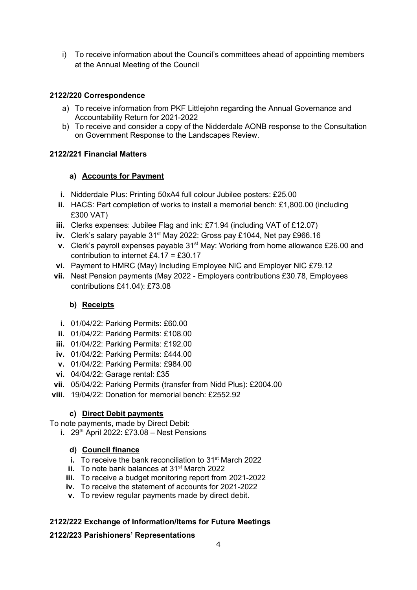i) To receive information about the Council's committees ahead of appointing members at the Annual Meeting of the Council

## **2122/220 Correspondence**

- a) To receive information from PKF Littlejohn regarding the Annual Governance and Accountability Return for 2021-2022
- b) To receive and consider a copy of the Nidderdale AONB response to the Consultation on Government Response to the Landscapes Review.

## **2122/221 Financial Matters**

## **a) Accounts for Payment**

- **i.** Nidderdale Plus: Printing 50xA4 full colour Jubilee posters: £25.00
- **ii.** HACS: Part completion of works to install a memorial bench: £1,800.00 (including £300 VAT)
- **iii.** Clerks expenses: Jubilee Flag and ink: £71.94 (including VAT of £12.07)
- **iv.** Clerk's salary payable 31<sup>st</sup> May 2022: Gross pay £1044, Net pay £966.16
- **v.** Clerk's payroll expenses payable 31st May: Working from home allowance £26.00 and contribution to internet £4.17 = £30.17
- **vi.** Payment to HMRC (May) Including Employee NIC and Employer NIC £79.12
- **vii.** Nest Pension payments (May 2022 Employers contributions £30.78, Employees contributions £41.04): £73.08

## **b) Receipts**

- **i.** 01/04/22: Parking Permits: £60.00
- **ii.** 01/04/22: Parking Permits: £108.00
- **iii.** 01/04/22: Parking Permits: £192.00
- **iv.** 01/04/22: Parking Permits: £444.00
- **v.** 01/04/22: Parking Permits: £984.00
- **vi.** 04/04/22: Garage rental: £35
- **vii.** 05/04/22: Parking Permits (transfer from Nidd Plus): £2004.00
- **viii.** 19/04/22: Donation for memorial bench: £2552.92

## **c) Direct Debit payments**

To note payments, made by Direct Debit:

**i.** 29<sup>th</sup> April 2022: £73.08 – Nest Pensions

## **d) Council finance**

- **i.** To receive the bank reconciliation to 31<sup>st</sup> March 2022
- **ii.** To note bank balances at 31<sup>st</sup> March 2022
- **iii.** To receive a budget monitoring report from 2021-2022
- **iv.** To receive the statement of accounts for 2021-2022
- **v.** To review regular payments made by direct debit.

## **2122/222 Exchange of Information/Items for Future Meetings**

### **2122/223 Parishioners' Representations**